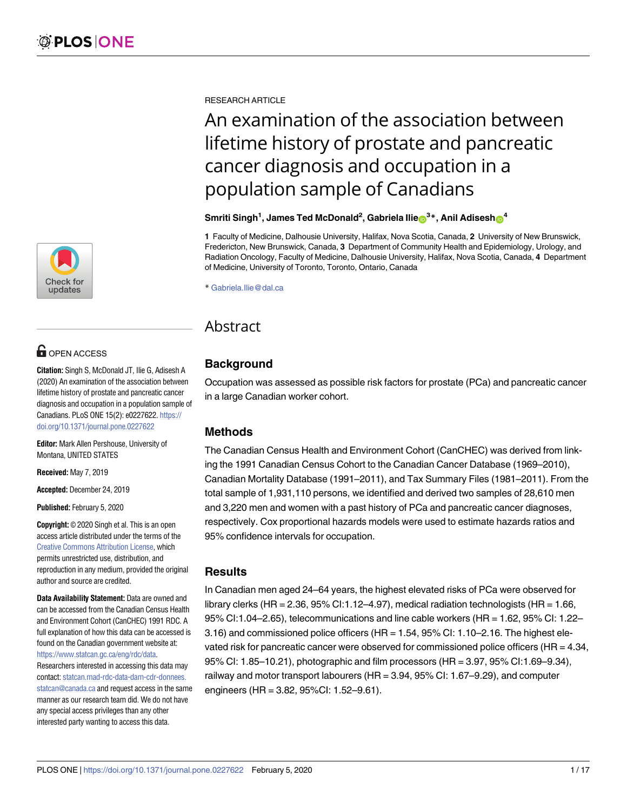

# **OPEN ACCESS**

**Citation:** Singh S, McDonald JT, Ilie G, Adisesh A (2020) An examination of the association between lifetime history of prostate and pancreatic cancer diagnosis and occupation in a population sample of Canadians. PLoS ONE 15(2): e0227622. [https://](https://doi.org/10.1371/journal.pone.0227622) [doi.org/10.1371/journal.pone.0227622](https://doi.org/10.1371/journal.pone.0227622)

**Editor:** Mark Allen Pershouse, University of Montana, UNITED STATES

**Received:** May 7, 2019

**Accepted:** December 24, 2019

**Published:** February 5, 2020

**Copyright:** © 2020 Singh et al. This is an open access article distributed under the terms of the Creative Commons [Attribution](http://creativecommons.org/licenses/by/4.0/) License, which permits unrestricted use, distribution, and reproduction in any medium, provided the original author and source are credited.

**Data Availability Statement:** Data are owned and can be accessed from the Canadian Census Health and Environment Cohort (CanCHEC) 1991 RDC. A full explanation of how this data can be accessed is found on the Canadian government website at: <https://www.statcan.gc.ca/eng/rdc/data>. Researchers interested in accessing this data may contact: [statcan.mad-rdc-data-dam-cdr-donnees.](mailto:statcan.mad-rdc-data-dam-cdr-donnees.statcan@canada.ca) [statcan@canada.ca](mailto:statcan.mad-rdc-data-dam-cdr-donnees.statcan@canada.ca) and request access in the same manner as our research team did. We do not have any special access privileges than any other interested party wanting to access this data.

RESEARCH ARTICLE

# An examination of the association between lifetime history of prostate and pancreatic cancer diagnosis and occupation in a population sample of Canadians

# ${\sf Smriti}$   ${\sf Singh}^1$ ,  ${\sf James}\, {\sf Ted}\, {\sf McDonald}^2, {\sf Gabriela}\, {\sf Ilie} \textbf{O}^{3*},$   ${\sf Anil}\, {\sf Adisesh} \textbf{O}^{4*}$

**1** Faculty of Medicine, Dalhousie University, Halifax, Nova Scotia, Canada, **2** University of New Brunswick, Fredericton, New Brunswick, Canada, **3** Department of Community Health and Epidemiology, Urology, and Radiation Oncology, Faculty of Medicine, Dalhousie University, Halifax, Nova Scotia, Canada, **4** Department of Medicine, University of Toronto, Toronto, Ontario, Canada

\* Gabriela.Ilie@dal.ca

# Abstract

# **Background**

Occupation was assessed as possible risk factors for prostate (PCa) and pancreatic cancer in a large Canadian worker cohort.

# **Methods**

The Canadian Census Health and Environment Cohort (CanCHEC) was derived from linking the 1991 Canadian Census Cohort to the Canadian Cancer Database (1969–2010), Canadian Mortality Database (1991–2011), and Tax Summary Files (1981–2011). From the total sample of 1,931,110 persons, we identified and derived two samples of 28,610 men and 3,220 men and women with a past history of PCa and pancreatic cancer diagnoses, respectively. Cox proportional hazards models were used to estimate hazards ratios and 95% confidence intervals for occupation.

# **Results**

In Canadian men aged 24–64 years, the highest elevated risks of PCa were observed for library clerks (HR = 2.36, 95% CI:1.12–4.97), medical radiation technologists (HR = 1.66, 95% CI:1.04–2.65), telecommunications and line cable workers (HR = 1.62, 95% CI: 1.22– 3.16) and commissioned police officers (HR = 1.54, 95% CI: 1.10–2.16. The highest elevated risk for pancreatic cancer were observed for commissioned police officers (HR = 4.34, 95% CI: 1.85–10.21), photographic and film processors (HR = 3.97, 95% CI:1.69–9.34), railway and motor transport labourers (HR = 3.94, 95% CI: 1.67–9.29), and computer engineers (HR = 3.82, 95%CI: 1.52–9.61).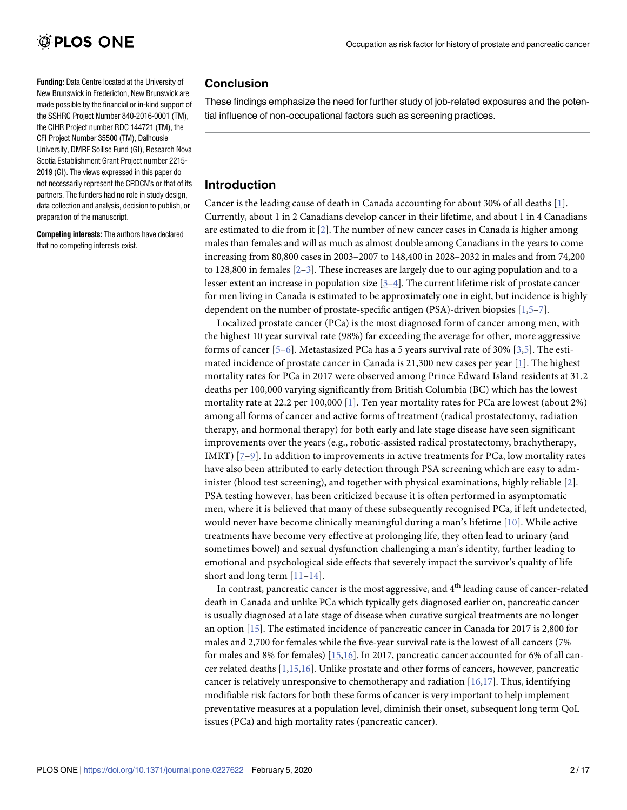<span id="page-1-0"></span>**Funding:** Data Centre located at the University of New Brunswick in Fredericton, New Brunswick are made possible by the financial or in-kind support of the SSHRC Project Number 840-2016-0001 (TM), the CIHR Project number RDC 144721 (TM), the CFI Project Number 35500 (TM), Dalhousie University, DMRF Soillse Fund (GI), Research Nova Scotia Establishment Grant Project number 2215- 2019 (GI). The views expressed in this paper do not necessarily represent the CRDCN's or that of its partners. The funders had no role in study design, data collection and analysis, decision to publish, or preparation of the manuscript.

**Competing interests:** The authors have declared that no competing interests exist.

#### **Conclusion**

These findings emphasize the need for further study of job-related exposures and the potential influence of non-occupational factors such as screening practices.

# **Introduction**

Cancer is the leading cause of death in Canada accounting for about 30% of all deaths [\[1](#page-13-0)]. Currently, about 1 in 2 Canadians develop cancer in their lifetime, and about 1 in 4 Canadians are estimated to die from it [\[2\]](#page-13-0). The number of new cancer cases in Canada is higher among males than females and will as much as almost double among Canadians in the years to come increasing from 80,800 cases in 2003–2007 to 148,400 in 2028–2032 in males and from 74,200 to 128,800 in females  $[2-3]$ . These increases are largely due to our aging population and to a lesser extent an increase in population size  $[3-4]$ . The current lifetime risk of prostate cancer for men living in Canada is estimated to be approximately one in eight, but incidence is highly dependent on the number of prostate-specific antigen (PSA)-driven biopsies  $[1,5-7]$ .

Localized prostate cancer (PCa) is the most diagnosed form of cancer among men, with the highest 10 year survival rate (98%) far exceeding the average for other, more aggressive forms of cancer [\[5–6](#page-13-0)]. Metastasized PCa has a 5 years survival rate of 30% [[3](#page-13-0),[5\]](#page-13-0). The estimated incidence of prostate cancer in Canada is 21,300 new cases per year [\[1\]](#page-13-0). The highest mortality rates for PCa in 2017 were observed among Prince Edward Island residents at 31.2 deaths per 100,000 varying significantly from British Columbia (BC) which has the lowest mortality rate at 22.2 per 100,000 [[1\]](#page-13-0). Ten year mortality rates for PCa are lowest (about 2%) among all forms of cancer and active forms of treatment (radical prostatectomy, radiation therapy, and hormonal therapy) for both early and late stage disease have seen significant improvements over the years (e.g., robotic-assisted radical prostatectomy, brachytherapy, IMRT) [\[7](#page-13-0)[–9](#page-14-0)]. In addition to improvements in active treatments for PCa, low mortality rates have also been attributed to early detection through PSA screening which are easy to administer (blood test screening), and together with physical examinations, highly reliable [\[2](#page-13-0)]. PSA testing however, has been criticized because it is often performed in asymptomatic men, where it is believed that many of these subsequently recognised PCa, if left undetected, would never have become clinically meaningful during a man's lifetime [\[10](#page-14-0)]. While active treatments have become very effective at prolonging life, they often lead to urinary (and sometimes bowel) and sexual dysfunction challenging a man's identity, further leading to emotional and psychological side effects that severely impact the survivor's quality of life short and long term [[11](#page-14-0)–[14](#page-14-0)].

In contrast, pancreatic cancer is the most aggressive, and  $4<sup>th</sup>$  leading cause of cancer-related death in Canada and unlike PCa which typically gets diagnosed earlier on, pancreatic cancer is usually diagnosed at a late stage of disease when curative surgical treatments are no longer an option [\[15\]](#page-14-0). The estimated incidence of pancreatic cancer in Canada for 2017 is 2,800 for males and 2,700 for females while the five-year survival rate is the lowest of all cancers (7% for males and 8% for females) [[15,16\]](#page-14-0). In 2017, pancreatic cancer accounted for 6% of all cancer related deaths [\[1](#page-13-0)[,15,16](#page-14-0)]. Unlike prostate and other forms of cancers, however, pancreatic cancer is relatively unresponsive to chemotherapy and radiation [[16](#page-14-0),[17](#page-14-0)]. Thus, identifying modifiable risk factors for both these forms of cancer is very important to help implement preventative measures at a population level, diminish their onset, subsequent long term QoL issues (PCa) and high mortality rates (pancreatic cancer).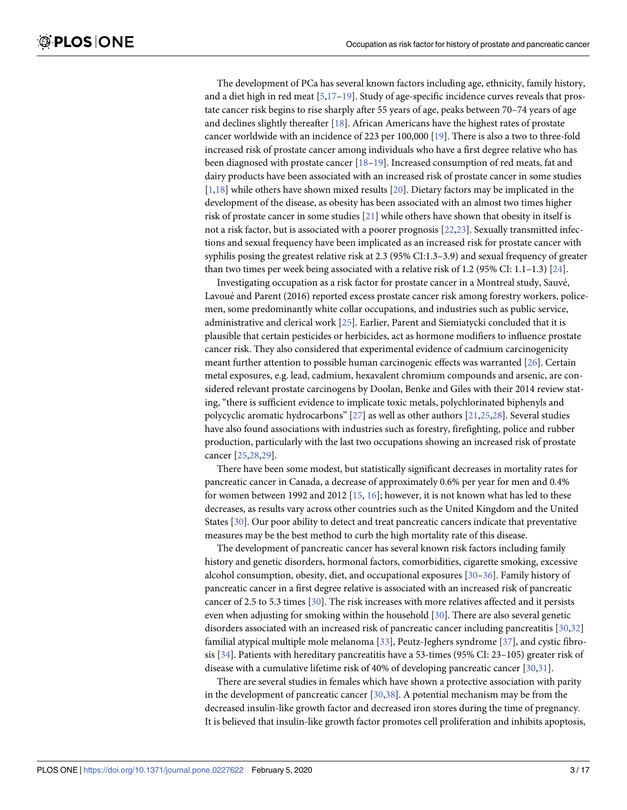<span id="page-2-0"></span>The development of PCa has several known factors including age, ethnicity, family history, and a diet high in red meat  $[5,17-19]$  $[5,17-19]$ . Study of age-specific incidence curves reveals that prostate cancer risk begins to rise sharply after 55 years of age, peaks between 70–74 years of age and declines slightly thereafter [[18](#page-14-0)]. African Americans have the highest rates of prostate cancer worldwide with an incidence of 223 per 100,000 [\[19\]](#page-14-0). There is also a two to three-fold increased risk of prostate cancer among individuals who have a first degree relative who has been diagnosed with prostate cancer  $[18-19]$ . Increased consumption of red meats, fat and dairy products have been associated with an increased risk of prostate cancer in some studies [\[1](#page-13-0)[,18\]](#page-14-0) while others have shown mixed results [\[20\]](#page-14-0). Dietary factors may be implicated in the development of the disease, as obesity has been associated with an almost two times higher risk of prostate cancer in some studies [\[21\]](#page-14-0) while others have shown that obesity in itself is not a risk factor, but is associated with a poorer prognosis [\[22,23](#page-14-0)]. Sexually transmitted infections and sexual frequency have been implicated as an increased risk for prostate cancer with syphilis posing the greatest relative risk at 2.3 (95% CI:1.3–3.9) and sexual frequency of greater than two times per week being associated with a relative risk of 1.2 (95% CI: 1.1–1.3) [\[24\]](#page-14-0).

Investigating occupation as a risk factor for prostate cancer in a Montreal study, Sauvé, Lavoué and Parent (2016) reported excess prostate cancer risk among forestry workers, policemen, some predominantly white collar occupations, and industries such as public service, administrative and clerical work [\[25\]](#page-14-0). Earlier, Parent and Siemiatycki concluded that it is plausible that certain pesticides or herbicides, act as hormone modifiers to influence prostate cancer risk. They also considered that experimental evidence of cadmium carcinogenicity meant further attention to possible human carcinogenic effects was warranted [\[26\]](#page-14-0). Certain metal exposures, e.g. lead, cadmium, hexavalent chromium compounds and arsenic, are considered relevant prostate carcinogens by Doolan, Benke and Giles with their 2014 review stating, "there is sufficient evidence to implicate toxic metals, polychlorinated biphenyls and polycyclic aromatic hydrocarbons" [[27](#page-14-0)] as well as other authors [\[21,25,28\]](#page-14-0). Several studies have also found associations with industries such as forestry, firefighting, police and rubber production, particularly with the last two occupations showing an increased risk of prostate cancer [[25](#page-14-0),[28,29\]](#page-14-0).

There have been some modest, but statistically significant decreases in mortality rates for pancreatic cancer in Canada, a decrease of approximately 0.6% per year for men and 0.4% for women between 1992 and 2012 [\[15,](#page-14-0) [16\]](#page-14-0); however, it is not known what has led to these decreases, as results vary across other countries such as the United Kingdom and the United States [[30](#page-14-0)]. Our poor ability to detect and treat pancreatic cancers indicate that preventative measures may be the best method to curb the high mortality rate of this disease.

The development of pancreatic cancer has several known risk factors including family history and genetic disorders, hormonal factors, comorbidities, cigarette smoking, excessive alcohol consumption, obesity, diet, and occupational exposures [\[30–](#page-14-0)[36](#page-15-0)]. Family history of pancreatic cancer in a first degree relative is associated with an increased risk of pancreatic cancer of 2.5 to 5.3 times [\[30\]](#page-14-0). The risk increases with more relatives affected and it persists even when adjusting for smoking within the household [[30](#page-14-0)]. There are also several genetic disorders associated with an increased risk of pancreatic cancer including pancreatitis [[30](#page-14-0),[32](#page-15-0)] familial atypical multiple mole melanoma [[33](#page-15-0)], Peutz-Jeghers syndrome [[37](#page-15-0)], and cystic fibrosis [\[34\]](#page-15-0). Patients with hereditary pancreatitis have a 53-times (95% CI: 23–105) greater risk of disease with a cumulative lifetime risk of 40% of developing pancreatic cancer [[30](#page-14-0),[31](#page-14-0)].

There are several studies in females which have shown a protective association with parity in the development of pancreatic cancer [[30](#page-14-0)[,38\]](#page-15-0). A potential mechanism may be from the decreased insulin-like growth factor and decreased iron stores during the time of pregnancy. It is believed that insulin-like growth factor promotes cell proliferation and inhibits apoptosis,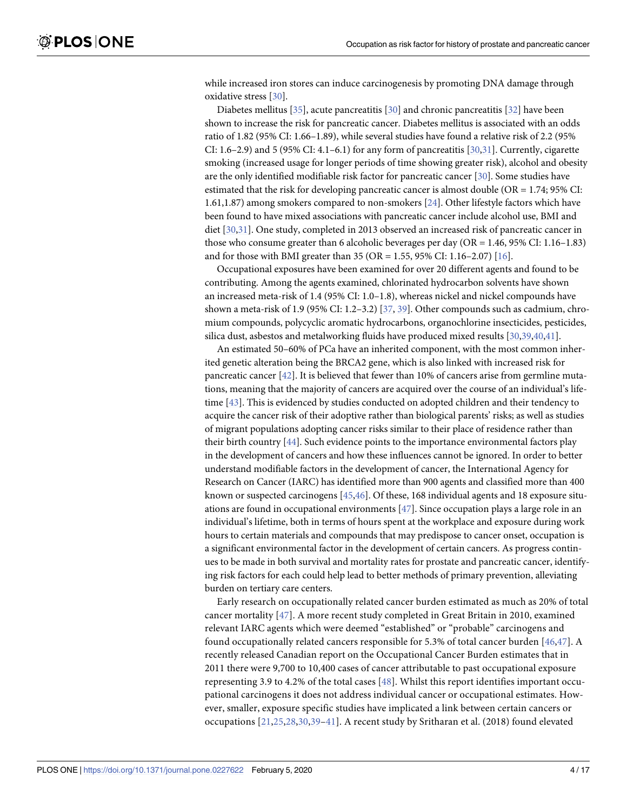<span id="page-3-0"></span>while increased iron stores can induce carcinogenesis by promoting DNA damage through oxidative stress [\[30\]](#page-14-0).

Diabetes mellitus [\[35\]](#page-15-0), acute pancreatitis [[30](#page-14-0)] and chronic pancreatitis [\[32\]](#page-15-0) have been shown to increase the risk for pancreatic cancer. Diabetes mellitus is associated with an odds ratio of 1.82 (95% CI: 1.66–1.89), while several studies have found a relative risk of 2.2 (95% CI:  $1.6-2.9$ ) and  $5$  (95% CI:  $4.1-6.1$ ) for any form of pancreatitis [\[30,31](#page-14-0)]. Currently, cigarette smoking (increased usage for longer periods of time showing greater risk), alcohol and obesity are the only identified modifiable risk factor for pancreatic cancer [[30](#page-14-0)]. Some studies have estimated that the risk for developing pancreatic cancer is almost double (OR = 1.74; 95% CI: 1.61,1.87) among smokers compared to non-smokers [[24](#page-14-0)]. Other lifestyle factors which have been found to have mixed associations with pancreatic cancer include alcohol use, BMI and diet [[30](#page-14-0),[31\]](#page-14-0). One study, completed in 2013 observed an increased risk of pancreatic cancer in those who consume greater than 6 alcoholic beverages per day (OR = 1.46, 95% CI: 1.16–1.83) and for those with BMI greater than 35 (OR = 1.55, 95% CI: 1.16–2.07) [\[16\]](#page-14-0).

Occupational exposures have been examined for over 20 different agents and found to be contributing. Among the agents examined, chlorinated hydrocarbon solvents have shown an increased meta-risk of 1.4 (95% CI: 1.0–1.8), whereas nickel and nickel compounds have shown a meta-risk of 1.9 (95% CI: 1.2–3.2) [\[37,](#page-15-0) [39\]](#page-15-0). Other compounds such as cadmium, chromium compounds, polycyclic aromatic hydrocarbons, organochlorine insecticides, pesticides, silica dust, asbestos and metalworking fluids have produced mixed results [[30](#page-14-0),[39,40,41\]](#page-15-0).

An estimated 50–60% of PCa have an inherited component, with the most common inherited genetic alteration being the BRCA2 gene, which is also linked with increased risk for pancreatic cancer [\[42\]](#page-15-0). It is believed that fewer than 10% of cancers arise from germline mutations, meaning that the majority of cancers are acquired over the course of an individual's lifetime [[43](#page-15-0)]. This is evidenced by studies conducted on adopted children and their tendency to acquire the cancer risk of their adoptive rather than biological parents' risks; as well as studies of migrant populations adopting cancer risks similar to their place of residence rather than their birth country [[44](#page-15-0)]. Such evidence points to the importance environmental factors play in the development of cancers and how these influences cannot be ignored. In order to better understand modifiable factors in the development of cancer, the International Agency for Research on Cancer (IARC) has identified more than 900 agents and classified more than 400 known or suspected carcinogens [\[45,46](#page-15-0)]. Of these, 168 individual agents and 18 exposure situations are found in occupational environments [\[47\]](#page-15-0). Since occupation plays a large role in an individual's lifetime, both in terms of hours spent at the workplace and exposure during work hours to certain materials and compounds that may predispose to cancer onset, occupation is a significant environmental factor in the development of certain cancers. As progress continues to be made in both survival and mortality rates for prostate and pancreatic cancer, identifying risk factors for each could help lead to better methods of primary prevention, alleviating burden on tertiary care centers.

Early research on occupationally related cancer burden estimated as much as 20% of total cancer mortality [[47\]](#page-15-0). A more recent study completed in Great Britain in 2010, examined relevant IARC agents which were deemed "established" or "probable" carcinogens and found occupationally related cancers responsible for 5.3% of total cancer burden [\[46,47](#page-15-0)]. A recently released Canadian report on the Occupational Cancer Burden estimates that in 2011 there were 9,700 to 10,400 cases of cancer attributable to past occupational exposure representing 3.9 to 4.2% of the total cases [[48](#page-15-0)]. Whilst this report identifies important occupational carcinogens it does not address individual cancer or occupational estimates. However, smaller, exposure specific studies have implicated a link between certain cancers or occupations [[21,25,28,30](#page-14-0)[,39–41](#page-15-0)]. A recent study by Sritharan et al. (2018) found elevated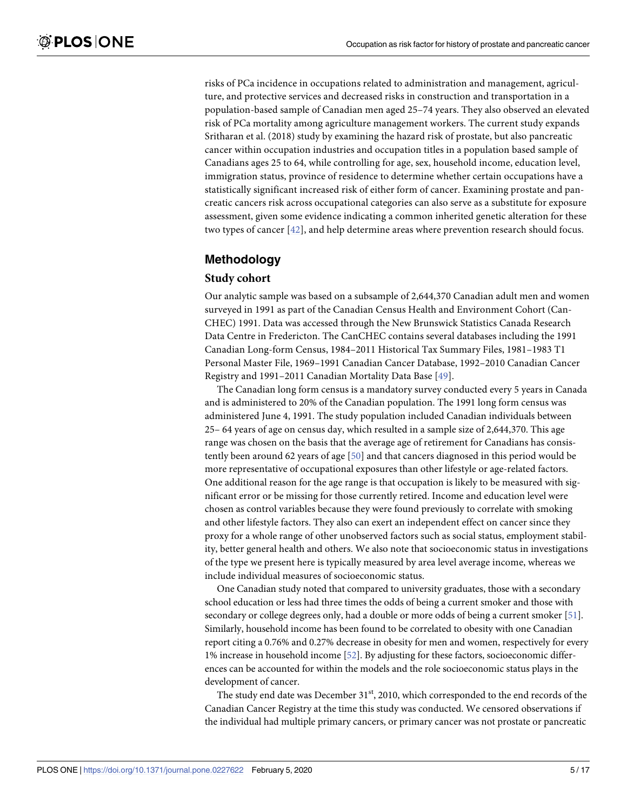<span id="page-4-0"></span>risks of PCa incidence in occupations related to administration and management, agriculture, and protective services and decreased risks in construction and transportation in a population-based sample of Canadian men aged 25–74 years. They also observed an elevated risk of PCa mortality among agriculture management workers. The current study expands Sritharan et al. (2018) study by examining the hazard risk of prostate, but also pancreatic cancer within occupation industries and occupation titles in a population based sample of Canadians ages 25 to 64, while controlling for age, sex, household income, education level, immigration status, province of residence to determine whether certain occupations have a statistically significant increased risk of either form of cancer. Examining prostate and pancreatic cancers risk across occupational categories can also serve as a substitute for exposure assessment, given some evidence indicating a common inherited genetic alteration for these two types of cancer [[42](#page-15-0)], and help determine areas where prevention research should focus.

# **Methodology**

#### **Study cohort**

Our analytic sample was based on a subsample of 2,644,370 Canadian adult men and women surveyed in 1991 as part of the Canadian Census Health and Environment Cohort (Can-CHEC) 1991. Data was accessed through the New Brunswick Statistics Canada Research Data Centre in Fredericton. The CanCHEC contains several databases including the 1991 Canadian Long-form Census, 1984–2011 Historical Tax Summary Files, 1981–1983 T1 Personal Master File, 1969–1991 Canadian Cancer Database, 1992–2010 Canadian Cancer Registry and 1991–2011 Canadian Mortality Data Base [\[49\]](#page-15-0).

The Canadian long form census is a mandatory survey conducted every 5 years in Canada and is administered to 20% of the Canadian population. The 1991 long form census was administered June 4, 1991. The study population included Canadian individuals between 25– 64 years of age on census day, which resulted in a sample size of 2,644,370. This age range was chosen on the basis that the average age of retirement for Canadians has consistently been around 62 years of age [[50\]](#page-15-0) and that cancers diagnosed in this period would be more representative of occupational exposures than other lifestyle or age-related factors. One additional reason for the age range is that occupation is likely to be measured with significant error or be missing for those currently retired. Income and education level were chosen as control variables because they were found previously to correlate with smoking and other lifestyle factors. They also can exert an independent effect on cancer since they proxy for a whole range of other unobserved factors such as social status, employment stability, better general health and others. We also note that socioeconomic status in investigations of the type we present here is typically measured by area level average income, whereas we include individual measures of socioeconomic status.

One Canadian study noted that compared to university graduates, those with a secondary school education or less had three times the odds of being a current smoker and those with secondary or college degrees only, had a double or more odds of being a current smoker [[51](#page-15-0)]. Similarly, household income has been found to be correlated to obesity with one Canadian report citing a 0.76% and 0.27% decrease in obesity for men and women, respectively for every 1% increase in household income [[52](#page-15-0)]. By adjusting for these factors, socioeconomic differences can be accounted for within the models and the role socioeconomic status plays in the development of cancer.

The study end date was December 31<sup>st</sup>, 2010, which corresponded to the end records of the Canadian Cancer Registry at the time this study was conducted. We censored observations if the individual had multiple primary cancers, or primary cancer was not prostate or pancreatic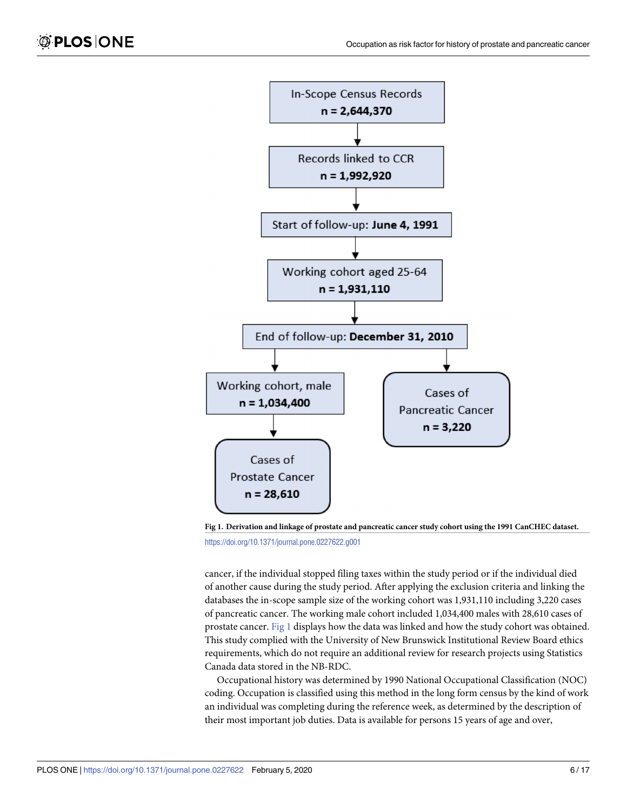

Fig 1. Derivation and linkage of prostate and pancreatic cancer study cohort using the 1991 CanCHEC dataset. <https://doi.org/10.1371/journal.pone.0227622.g001>

cancer, if the individual stopped filing taxes within the study period or if the individual died of another cause during the study period. After applying the exclusion criteria and linking the databases the in-scope sample size of the working cohort was 1,931,110 including 3,220 cases of pancreatic cancer. The working male cohort included 1,034,400 males with 28,610 cases of prostate cancer. Fig 1 displays how the data was linked and how the study cohort was obtained. This study complied with the University of New Brunswick Institutional Review Board ethics requirements, which do not require an additional review for research projects using Statistics Canada data stored in the NB-RDC.

Occupational history was determined by 1990 National Occupational Classification (NOC) coding. Occupation is classified using this method in the long form census by the kind of work an individual was completing during the reference week, as determined by the description of their most important job duties. Data is available for persons 15 years of age and over,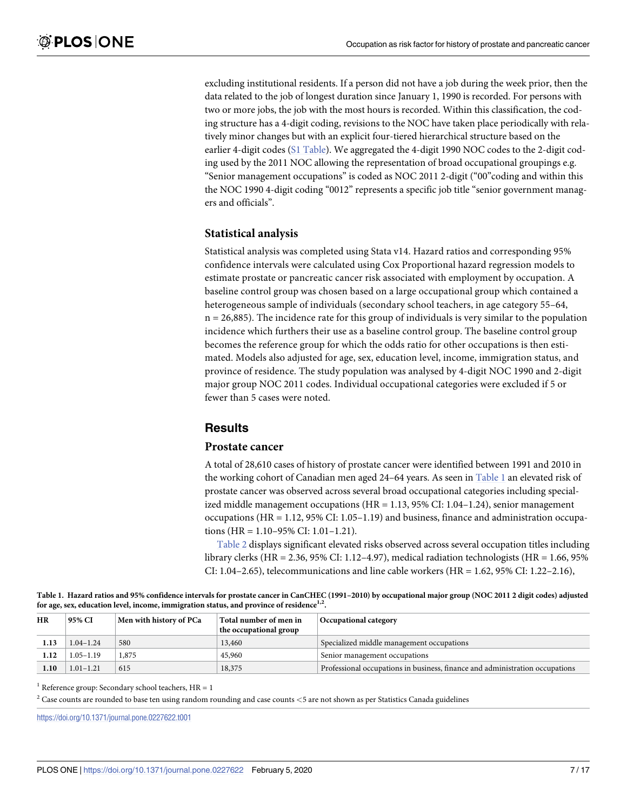<span id="page-6-0"></span>excluding institutional residents. If a person did not have a job during the week prior, then the data related to the job of longest duration since January 1, 1990 is recorded. For persons with two or more jobs, the job with the most hours is recorded. Within this classification, the coding structure has a 4-digit coding, revisions to the NOC have taken place periodically with relatively minor changes but with an explicit four-tiered hierarchical structure based on the earlier 4-digit codes (S1 [Table](#page-13-0)). We aggregated the 4-digit 1990 NOC codes to the 2-digit coding used by the 2011 NOC allowing the representation of broad occupational groupings e.g. "Senior management occupations" is coded as NOC 2011 2-digit ("00"coding and within this the NOC 1990 4-digit coding "0012" represents a specific job title "senior government managers and officials".

# **Statistical analysis**

Statistical analysis was completed using Stata v14. Hazard ratios and corresponding 95% confidence intervals were calculated using Cox Proportional hazard regression models to estimate prostate or pancreatic cancer risk associated with employment by occupation. A baseline control group was chosen based on a large occupational group which contained a heterogeneous sample of individuals (secondary school teachers, in age category 55–64,  $n = 26,885$ . The incidence rate for this group of individuals is very similar to the population incidence which furthers their use as a baseline control group. The baseline control group becomes the reference group for which the odds ratio for other occupations is then estimated. Models also adjusted for age, sex, education level, income, immigration status, and province of residence. The study population was analysed by 4-digit NOC 1990 and 2-digit major group NOC 2011 codes. Individual occupational categories were excluded if 5 or fewer than 5 cases were noted.

# **Results**

#### **Prostate cancer**

A total of 28,610 cases of history of prostate cancer were identified between 1991 and 2010 in the working cohort of Canadian men aged 24-64 years. As seen in Table 1 an elevated risk of prostate cancer was observed across several broad occupational categories including specialized middle management occupations ( $HR = 1.13, 95\%$  CI: 1.04–1.24), senior management occupations (HR = 1.12, 95% CI: 1.05–1.19) and business, finance and administration occupations (HR = 1.10–95% CI: 1.01–1.21).

[Table](#page-7-0) 2 displays significant elevated risks observed across several occupation titles including library clerks (HR =  $2.36$ ,  $95\%$  CI:  $1.12-4.97$ ), medical radiation technologists (HR =  $1.66$ ,  $95\%$ CI: 1.04–2.65), telecommunications and line cable workers (HR =  $1.62$ , 95% CI: 1.22–2.16),

| Table 1. Hazard ratios and 95% confidence intervals for prostate cancer in CanCHEC (1991-2010) by occupational major group (NOC 2011 2 digit codes) adjusted |  |  |
|--------------------------------------------------------------------------------------------------------------------------------------------------------------|--|--|
| for age, sex, education level, income, immigration status, and province of residence <sup>1,2</sup> .                                                        |  |  |

| HR   | 95% CI        | Men with history of PCa | Total number of men in<br>the occupational group | Occupational category                                                        |
|------|---------------|-------------------------|--------------------------------------------------|------------------------------------------------------------------------------|
| 1.13 | $1.04 - 1.24$ | 580                     | 13,460                                           | Specialized middle management occupations                                    |
| 1.12 | 1.05–1.19     | 1,875                   | 45,960                                           | Senior management occupations                                                |
| 1.10 | $1.01 - 1.21$ | 615                     | 18,375                                           | Professional occupations in business, finance and administration occupations |

<sup>1</sup> Reference group: Secondary school teachers,  $HR = 1$ 

<sup>2</sup> Case counts are rounded to base ten using random rounding and case counts *<*5 are not shown as per Statistics Canada guidelines

<https://doi.org/10.1371/journal.pone.0227622.t001>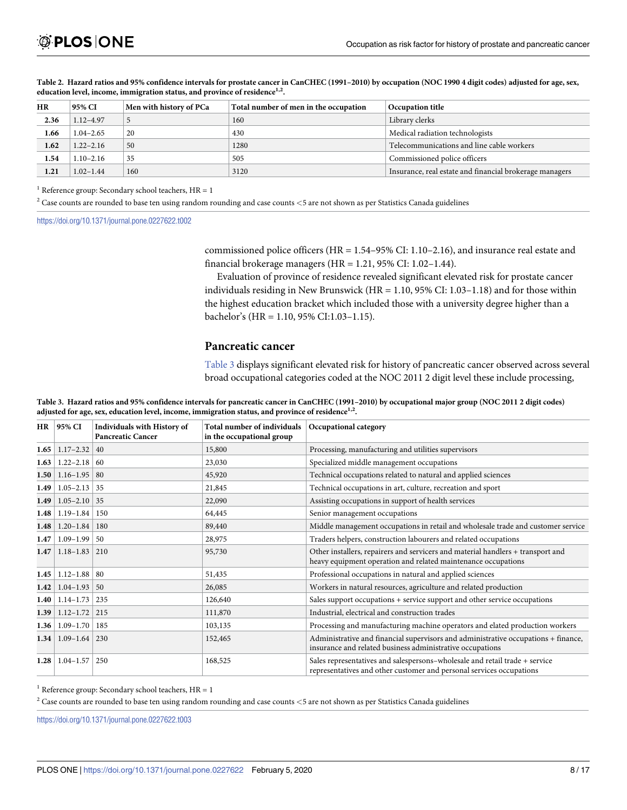| HR   | 95% CI        | Men with history of PCa | Total number of men in the occupation | <b>Occupation title</b>                                 |
|------|---------------|-------------------------|---------------------------------------|---------------------------------------------------------|
| 2.36 | $1.12 - 4.97$ |                         | 160                                   | Library clerks                                          |
| 1.66 | $1.04 - 2.65$ | 20                      | 430                                   | Medical radiation technologists                         |
| 1.62 | $1.22 - 2.16$ | 50                      | 1280                                  | Telecommunications and line cable workers               |
| 1.54 | $1.10 - 2.16$ | 35                      | 505                                   | Commissioned police officers                            |
| 1.21 | $1.02 - 1.44$ | 160                     | 3120                                  | Insurance, real estate and financial brokerage managers |

<span id="page-7-0"></span>[Table](#page-6-0) 2. Hazard ratios and 95% confidence intervals for prostate cancer in CanCHEC (1991-2010) by occupation (NOC 1990 4 digit codes) adjusted for age, sex, **education level, income, immigration status, and province of residence1,2.**

<sup>1</sup> Reference group: Secondary school teachers,  $HR = 1$ 

<sup>2</sup> Case counts are rounded to base ten using random rounding and case counts *<*5 are not shown as per Statistics Canada guidelines

<https://doi.org/10.1371/journal.pone.0227622.t002>

commissioned police officers (HR = 1.54–95% CI: 1.10–2.16), and insurance real estate and financial brokerage managers (HR =  $1.21$ , 95% CI:  $1.02-1.44$ ).

Evaluation of province of residence revealed significant elevated risk for prostate cancer individuals residing in New Brunswick (HR = 1.10, 95% CI: 1.03–1.18) and for those within the highest education bracket which included those with a university degree higher than a bachelor's (HR = 1.10, 95% CI:1.03–1.15).

#### **Pancreatic cancer**

Table 3 displays significant elevated risk for history of pancreatic cancer observed across several broad occupational categories coded at the NOC 2011 2 digit level these include processing,

| Table 3. Hazard ratios and 95% confidence intervals for pancreatic cancer in CanCHEC (1991-2010) by occupational major group (NOC 2011 2 digit codes) |  |
|-------------------------------------------------------------------------------------------------------------------------------------------------------|--|
| adjusted for age, sex, education level, income, immigration status, and province of residence <sup>1,2</sup> .                                        |  |

| <b>HR</b> | 95% CI                   | Individuals with History of<br><b>Pancreatic Cancer</b> | Total number of individuals<br>in the occupational group | Occupational category                                                                                                                               |
|-----------|--------------------------|---------------------------------------------------------|----------------------------------------------------------|-----------------------------------------------------------------------------------------------------------------------------------------------------|
| 1.65      | $1.17 - 2.32$   40       |                                                         | 15,800                                                   | Processing, manufacturing and utilities supervisors                                                                                                 |
| 1.63      | $1.22 - 2.18$ 60         |                                                         | 23,030                                                   | Specialized middle management occupations                                                                                                           |
| 1.50      | $1.16 - 1.95$ 80         |                                                         | 45,920                                                   | Technical occupations related to natural and applied sciences                                                                                       |
| 1.49      | $1.05 - 2.13$ 35         |                                                         | 21,845                                                   | Technical occupations in art, culture, recreation and sport                                                                                         |
| 1.49      | $1.05 - 2.10$ 35         |                                                         | 22,090                                                   | Assisting occupations in support of health services                                                                                                 |
|           | $1.48$   1.19-1.84   150 |                                                         | 64,445                                                   | Senior management occupations                                                                                                                       |
| 1.48      | $1.20 - 1.84$   180      |                                                         | 89,440                                                   | Middle management occupations in retail and wholesale trade and customer service                                                                    |
| 1.47      | $1.09 - 1.99$ 50         |                                                         | 28,975                                                   | Traders helpers, construction labourers and related occupations                                                                                     |
| 1.47      | $1.18 - 1.83$ 210        |                                                         | 95,730                                                   | Other installers, repairers and servicers and material handlers + transport and<br>heavy equipment operation and related maintenance occupations    |
| 1.45      | $1.12 - 1.88$ 80         |                                                         | 51,435                                                   | Professional occupations in natural and applied sciences                                                                                            |
|           | $1.42$   1.04-1.93   50  |                                                         | 26,085                                                   | Workers in natural resources, agriculture and related production                                                                                    |
|           | 1.40   1.14–1.73         | 235                                                     | 126,640                                                  | Sales support occupations + service support and other service occupations                                                                           |
| 1.39      | $1.12 - 1.72$ 215        |                                                         | 111,870                                                  | Industrial, electrical and construction trades                                                                                                      |
|           | $1.36$   1.09-1.70   185 |                                                         | 103,135                                                  | Processing and manufacturing machine operators and elated production workers                                                                        |
| 1.34      | $1.09 - 1.64$   230      |                                                         | 152,465                                                  | Administrative and financial supervisors and administrative occupations + finance,<br>insurance and related business administrative occupations     |
| 1.28      | $1.04 - 1.57$            | 250                                                     | 168,525                                                  | Sales representatives and salespersons-wholesale and retail trade + service<br>representatives and other customer and personal services occupations |

 $^{\rm 1}$  Reference group: Secondary school teachers, HR = 1

<sup>2</sup> Case counts are rounded to base ten using random rounding and case counts *<*5 are not shown as per Statistics Canada guidelines

<https://doi.org/10.1371/journal.pone.0227622.t003>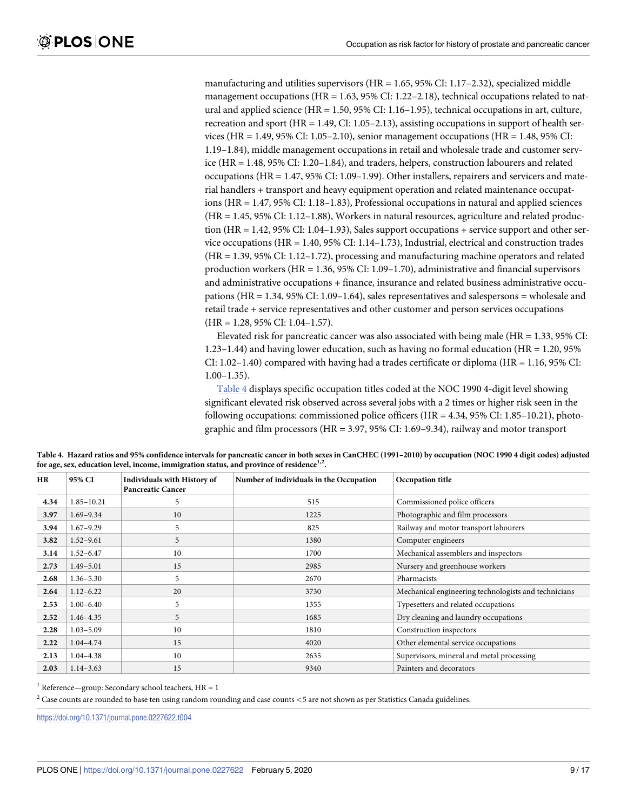<span id="page-8-0"></span>manufacturing and utilities supervisors ( $HR = 1.65, 95\%$  CI:  $1.17-2.32$ ), specialized middle management occupations ( $HR = 1.63$ , 95% CI: 1.22–2.18), technical occupations related to natural and applied science (HR = 1.50, 95% CI: 1.16–1.95), technical occupations in art, culture, recreation and sport ( $HR = 1.49$ , CI: 1.05–2.13), assisting occupations in support of health services (HR =  $1.49, 95\%$  CI:  $1.05-2.10$ ), senior management occupations (HR =  $1.48, 95\%$  CI: 1.19–1.84), middle management occupations in retail and wholesale trade and customer service (HR = 1.48, 95% CI: 1.20–1.84), and traders, helpers, construction labourers and related occupations (HR = 1.47, 95% CI: 1.09–1.99). Other installers, repairers and servicers and material handlers + transport and heavy equipment operation and related maintenance occupations (HR = 1.47, 95% CI: 1.18–1.83), Professional occupations in natural and applied sciences (HR = 1.45, 95% CI: 1.12–1.88), Workers in natural resources, agriculture and related production ( $HR = 1.42$ ,  $95\%$  CI:  $1.04-1.93$ ), Sales support occupations + service support and other service occupations (HR = 1.40, 95% CI: 1.14–1.73), Industrial, electrical and construction trades (HR = 1.39, 95% CI: 1.12–1.72), processing and manufacturing machine operators and related production workers (HR = 1.36, 95% CI: 1.09–1.70), administrative and financial supervisors and administrative occupations + finance, insurance and related business administrative occupations (HR = 1.34, 95% CI: 1.09–1.64), sales representatives and salespersons = wholesale and retail trade + service representatives and other customer and person services occupations (HR = 1.28, 95% CI: 1.04–1.57).

Elevated risk for pancreatic cancer was also associated with being male (HR = 1.33, 95% CI: 1.23–1.44) and having lower education, such as having no formal education (HR = 1.20, 95% CI: 1.02–1.40) compared with having had a trades certificate or diploma (HR = 1.16, 95% CI: 1.00–1.35).

Table 4 displays specific occupation titles coded at the NOC 1990 4-digit level showing significant elevated risk observed across several jobs with a 2 times or higher risk seen in the following occupations: commissioned police officers  $(HR = 4.34, 95\% \text{ CI: } 1.85-10.21)$ , photographic and film processors ( $HR = 3.97, 95\%$  CI: 1.69–9.34), railway and motor transport

| <b>HR</b> | 95% CI         | Individuals with History of<br><b>Pancreatic Cancer</b> | Number of individuals in the Occupation | Occupation title                                     |
|-----------|----------------|---------------------------------------------------------|-----------------------------------------|------------------------------------------------------|
| 4.34      | $1.85 - 10.21$ | 5                                                       | 515                                     | Commissioned police officers                         |
| 3.97      | $1.69 - 9.34$  | 10                                                      | 1225                                    | Photographic and film processors                     |
| 3.94      | $1.67 - 9.29$  | 5                                                       | 825                                     | Railway and motor transport labourers                |
| 3.82      | $1.52 - 9.61$  | 5                                                       | 1380                                    | Computer engineers                                   |
| 3.14      | $1.52 - 6.47$  | 10                                                      | 1700                                    | Mechanical assemblers and inspectors                 |
| 2.73      | $1.49 - 5.01$  | 15                                                      | 2985                                    | Nursery and greenhouse workers                       |
| 2.68      | $1.36 - 5.30$  | 5                                                       | 2670                                    | Pharmacists                                          |
| 2.64      | $1.12 - 6.22$  | 20                                                      | 3730                                    | Mechanical engineering technologists and technicians |
| 2.53      | $1.00 - 6.40$  | 5                                                       | 1355                                    | Typesetters and related occupations                  |
| 2.52      | $1.46 - 4.35$  | 5                                                       | 1685                                    | Dry cleaning and laundry occupations                 |
| 2.28      | $1.03 - 5.09$  | 10                                                      | 1810                                    | Construction inspectors                              |
| 2.22      | $1.04 - 4.74$  | 15                                                      | 4020                                    | Other elemental service occupations                  |
| 2.13      | $1.04 - 4.38$  | 10                                                      | 2635                                    | Supervisors, mineral and metal processing            |
| 2.03      | $1.14 - 3.63$  | 15                                                      | 9340                                    | Painters and decorators                              |

Table 4. Hazard ratios and 95% confidence intervals for pancreatic cancer in both sexes in CanCHEC (1991-2010) by occupation (NOC 1990 4 digit codes) adjusted **for age, sex, education level, income, immigration status, and province of residence1,2.**

 $1$  Reference—group: Secondary school teachers, HR = 1

<sup>2</sup> Case counts are rounded to base ten using random rounding and case counts *<*5 are not shown as per Statistics Canada guidelines.

<https://doi.org/10.1371/journal.pone.0227622.t004>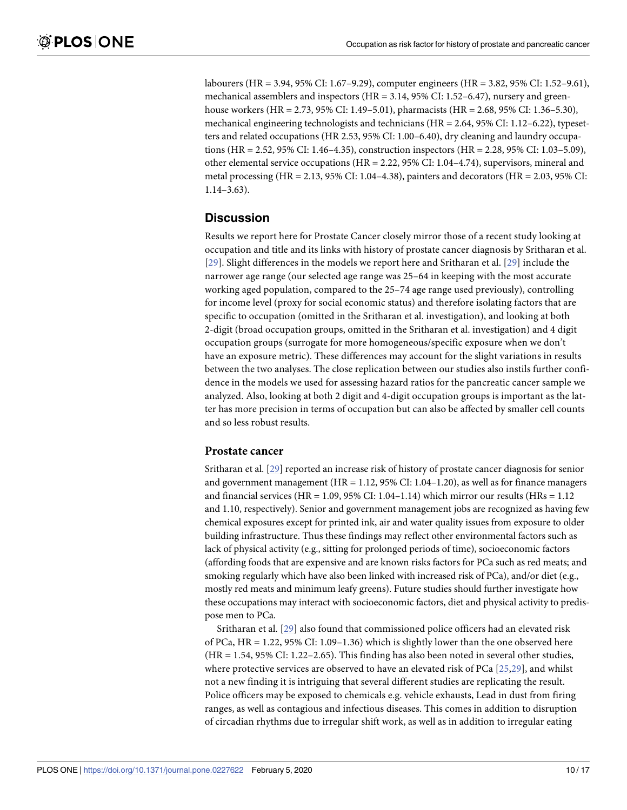labourers (HR = 3.94, 95% CI: 1.67–9.29), computer engineers (HR = 3.82, 95% CI: 1.52–9.61), mechanical assemblers and inspectors (HR = 3.14, 95% CI: 1.52–6.47), nursery and greenhouse workers (HR = 2.73, 95% CI: 1.49–5.01), pharmacists (HR = 2.68, 95% CI: 1.36–5.30), mechanical engineering technologists and technicians (HR = 2.64, 95% CI: 1.12–6.22), typesetters and related occupations (HR 2.53, 95% CI: 1.00–6.40), dry cleaning and laundry occupations (HR = 2.52, 95% CI: 1.46–4.35), construction inspectors (HR = 2.28, 95% CI: 1.03–5.09), other elemental service occupations (HR = 2.22, 95% CI: 1.04–4.74), supervisors, mineral and metal processing (HR = 2.13, 95% CI: 1.04–4.38), painters and decorators (HR = 2.03, 95% CI: 1.14–3.63).

# **Discussion**

Results we report here for Prostate Cancer closely mirror those of a recent study looking at occupation and title and its links with history of prostate cancer diagnosis by Sritharan et al. [[29](#page-14-0)]. Slight differences in the models we report here and Sritharan et al. [\[29](#page-14-0)] include the narrower age range (our selected age range was 25–64 in keeping with the most accurate working aged population, compared to the 25–74 age range used previously), controlling for income level (proxy for social economic status) and therefore isolating factors that are specific to occupation (omitted in the Sritharan et al. investigation), and looking at both 2-digit (broad occupation groups, omitted in the Sritharan et al. investigation) and 4 digit occupation groups (surrogate for more homogeneous/specific exposure when we don't have an exposure metric). These differences may account for the slight variations in results between the two analyses. The close replication between our studies also instils further confidence in the models we used for assessing hazard ratios for the pancreatic cancer sample we analyzed. Also, looking at both 2 digit and 4-digit occupation groups is important as the latter has more precision in terms of occupation but can also be affected by smaller cell counts and so less robust results.

#### **Prostate cancer**

Sritharan et al. [[29](#page-14-0)] reported an increase risk of history of prostate cancer diagnosis for senior and government management ( $HR = 1.12$ , 95% CI: 1.04–1.20), as well as for finance managers and financial services (HR =  $1.09$ , 95% CI:  $1.04 - 1.14$ ) which mirror our results (HRs =  $1.12$ ) and 1.10, respectively). Senior and government management jobs are recognized as having few chemical exposures except for printed ink, air and water quality issues from exposure to older building infrastructure. Thus these findings may reflect other environmental factors such as lack of physical activity (e.g., sitting for prolonged periods of time), socioeconomic factors (affording foods that are expensive and are known risks factors for PCa such as red meats; and smoking regularly which have also been linked with increased risk of PCa), and/or diet (e.g., mostly red meats and minimum leafy greens). Future studies should further investigate how these occupations may interact with socioeconomic factors, diet and physical activity to predispose men to PCa.

Sritharan et al. [\[29\]](#page-14-0) also found that commissioned police officers had an elevated risk of PCa, HR = 1.22, 95% CI: 1.09–1.36) which is slightly lower than the one observed here (HR = 1.54, 95% CI: 1.22–2.65). This finding has also been noted in several other studies, where protective services are observed to have an elevated risk of PCa [[25](#page-14-0),[29](#page-14-0)], and whilst not a new finding it is intriguing that several different studies are replicating the result. Police officers may be exposed to chemicals e.g. vehicle exhausts, Lead in dust from firing ranges, as well as contagious and infectious diseases. This comes in addition to disruption of circadian rhythms due to irregular shift work, as well as in addition to irregular eating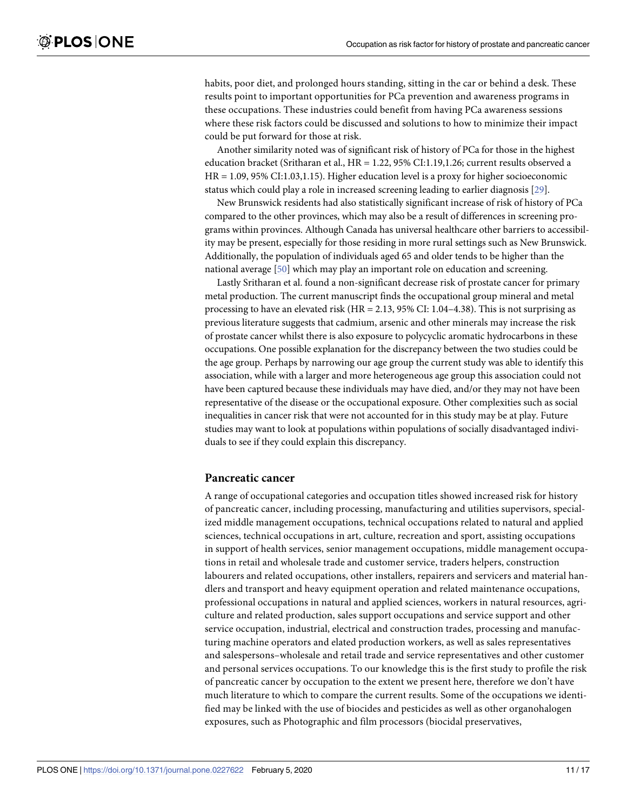habits, poor diet, and prolonged hours standing, sitting in the car or behind a desk. These results point to important opportunities for PCa prevention and awareness programs in these occupations. These industries could benefit from having PCa awareness sessions where these risk factors could be discussed and solutions to how to minimize their impact could be put forward for those at risk.

Another similarity noted was of significant risk of history of PCa for those in the highest education bracket (Sritharan et al., HR = 1.22, 95% CI:1.19,1.26; current results observed a  $HR = 1.09, 95\% \text{ CI:} 1.03, 1.15$ . Higher education level is a proxy for higher socioeconomic status which could play a role in increased screening leading to earlier diagnosis [[29](#page-14-0)].

New Brunswick residents had also statistically significant increase of risk of history of PCa compared to the other provinces, which may also be a result of differences in screening programs within provinces. Although Canada has universal healthcare other barriers to accessibility may be present, especially for those residing in more rural settings such as New Brunswick. Additionally, the population of individuals aged 65 and older tends to be higher than the national average [[50](#page-15-0)] which may play an important role on education and screening.

Lastly Sritharan et al. found a non-significant decrease risk of prostate cancer for primary metal production. The current manuscript finds the occupational group mineral and metal processing to have an elevated risk (HR = 2.13, 95% CI: 1.04–4.38). This is not surprising as previous literature suggests that cadmium, arsenic and other minerals may increase the risk of prostate cancer whilst there is also exposure to polycyclic aromatic hydrocarbons in these occupations. One possible explanation for the discrepancy between the two studies could be the age group. Perhaps by narrowing our age group the current study was able to identify this association, while with a larger and more heterogeneous age group this association could not have been captured because these individuals may have died, and/or they may not have been representative of the disease or the occupational exposure. Other complexities such as social inequalities in cancer risk that were not accounted for in this study may be at play. Future studies may want to look at populations within populations of socially disadvantaged individuals to see if they could explain this discrepancy.

#### **Pancreatic cancer**

A range of occupational categories and occupation titles showed increased risk for history of pancreatic cancer, including processing, manufacturing and utilities supervisors, specialized middle management occupations, technical occupations related to natural and applied sciences, technical occupations in art, culture, recreation and sport, assisting occupations in support of health services, senior management occupations, middle management occupations in retail and wholesale trade and customer service, traders helpers, construction labourers and related occupations, other installers, repairers and servicers and material handlers and transport and heavy equipment operation and related maintenance occupations, professional occupations in natural and applied sciences, workers in natural resources, agriculture and related production, sales support occupations and service support and other service occupation, industrial, electrical and construction trades, processing and manufacturing machine operators and elated production workers, as well as sales representatives and salespersons–wholesale and retail trade and service representatives and other customer and personal services occupations. To our knowledge this is the first study to profile the risk of pancreatic cancer by occupation to the extent we present here, therefore we don't have much literature to which to compare the current results. Some of the occupations we identified may be linked with the use of biocides and pesticides as well as other organohalogen exposures, such as Photographic and film processors (biocidal preservatives,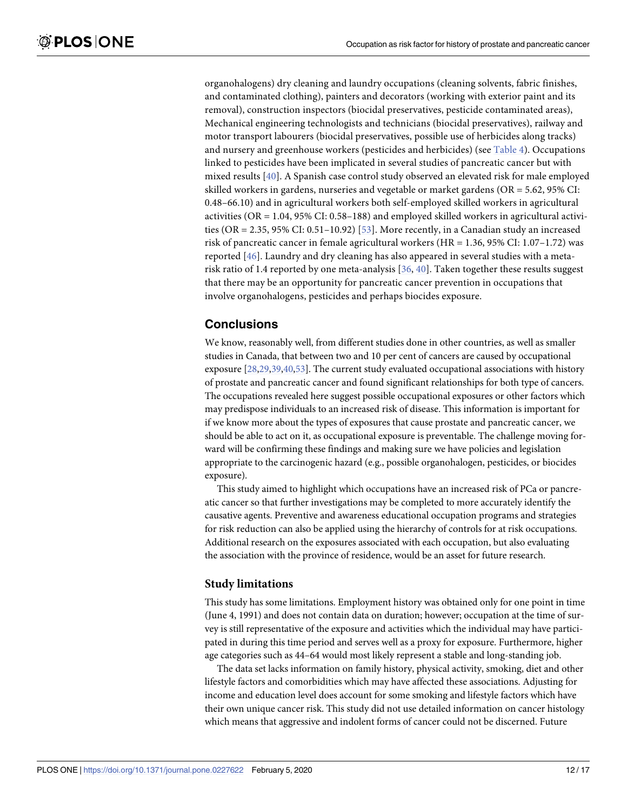<span id="page-11-0"></span>organohalogens) dry cleaning and laundry occupations (cleaning solvents, fabric finishes, and contaminated clothing), painters and decorators (working with exterior paint and its removal), construction inspectors (biocidal preservatives, pesticide contaminated areas), Mechanical engineering technologists and technicians (biocidal preservatives), railway and motor transport labourers (biocidal preservatives, possible use of herbicides along tracks) and nursery and greenhouse workers (pesticides and herbicides) (see [Table](#page-8-0) 4). Occupations linked to pesticides have been implicated in several studies of pancreatic cancer but with mixed results [[40\]](#page-15-0). A Spanish case control study observed an elevated risk for male employed skilled workers in gardens, nurseries and vegetable or market gardens (OR = 5.62, 95% CI: 0.48–66.10) and in agricultural workers both self-employed skilled workers in agricultural activities (OR = 1.04, 95% CI: 0.58–188) and employed skilled workers in agricultural activi-ties (OR = 2.35, 95% CI: 0.51–10.92) [\[53\]](#page-15-0). More recently, in a Canadian study an increased risk of pancreatic cancer in female agricultural workers (HR = 1.36, 95% CI: 1.07–1.72) was reported [[46\]](#page-15-0). Laundry and dry cleaning has also appeared in several studies with a metarisk ratio of 1.4 reported by one meta-analysis [\[36,](#page-15-0) [40](#page-15-0)]. Taken together these results suggest that there may be an opportunity for pancreatic cancer prevention in occupations that involve organohalogens, pesticides and perhaps biocides exposure.

# **Conclusions**

We know, reasonably well, from different studies done in other countries, as well as smaller studies in Canada, that between two and 10 per cent of cancers are caused by occupational exposure [[28,29,](#page-14-0)[39,40](#page-15-0),[53](#page-15-0)]. The current study evaluated occupational associations with history of prostate and pancreatic cancer and found significant relationships for both type of cancers. The occupations revealed here suggest possible occupational exposures or other factors which may predispose individuals to an increased risk of disease. This information is important for if we know more about the types of exposures that cause prostate and pancreatic cancer, we should be able to act on it, as occupational exposure is preventable. The challenge moving forward will be confirming these findings and making sure we have policies and legislation appropriate to the carcinogenic hazard (e.g., possible organohalogen, pesticides, or biocides exposure).

This study aimed to highlight which occupations have an increased risk of PCa or pancreatic cancer so that further investigations may be completed to more accurately identify the causative agents. Preventive and awareness educational occupation programs and strategies for risk reduction can also be applied using the hierarchy of controls for at risk occupations. Additional research on the exposures associated with each occupation, but also evaluating the association with the province of residence, would be an asset for future research.

#### **Study limitations**

This study has some limitations. Employment history was obtained only for one point in time (June 4, 1991) and does not contain data on duration; however; occupation at the time of survey is still representative of the exposure and activities which the individual may have participated in during this time period and serves well as a proxy for exposure. Furthermore, higher age categories such as 44–64 would most likely represent a stable and long-standing job.

The data set lacks information on family history, physical activity, smoking, diet and other lifestyle factors and comorbidities which may have affected these associations. Adjusting for income and education level does account for some smoking and lifestyle factors which have their own unique cancer risk. This study did not use detailed information on cancer histology which means that aggressive and indolent forms of cancer could not be discerned. Future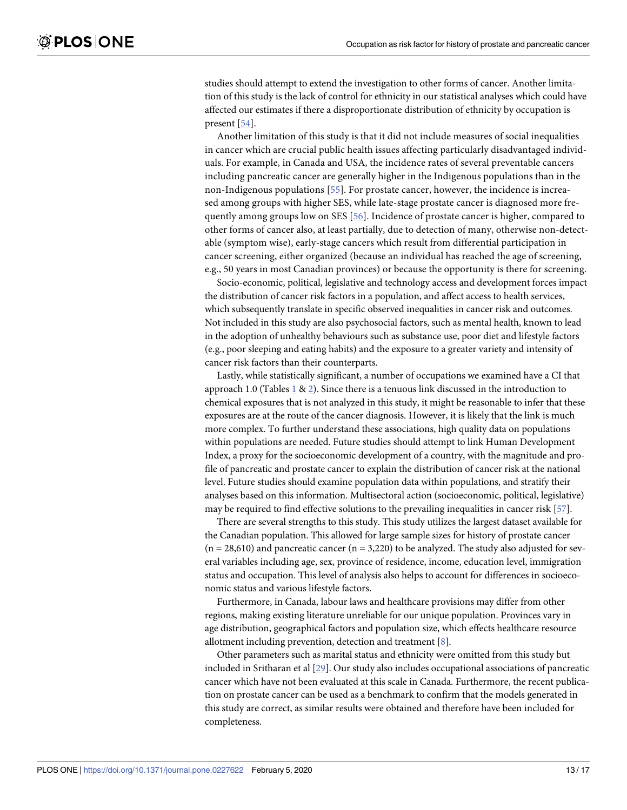<span id="page-12-0"></span>studies should attempt to extend the investigation to other forms of cancer. Another limitation of this study is the lack of control for ethnicity in our statistical analyses which could have affected our estimates if there a disproportionate distribution of ethnicity by occupation is present [\[54\]](#page-15-0).

Another limitation of this study is that it did not include measures of social inequalities in cancer which are crucial public health issues affecting particularly disadvantaged individuals. For example, in Canada and USA, the incidence rates of several preventable cancers including pancreatic cancer are generally higher in the Indigenous populations than in the non-Indigenous populations [[55](#page-16-0)]. For prostate cancer, however, the incidence is increased among groups with higher SES, while late-stage prostate cancer is diagnosed more frequently among groups low on SES [[56\]](#page-16-0). Incidence of prostate cancer is higher, compared to other forms of cancer also, at least partially, due to detection of many, otherwise non-detectable (symptom wise), early-stage cancers which result from differential participation in cancer screening, either organized (because an individual has reached the age of screening, e.g., 50 years in most Canadian provinces) or because the opportunity is there for screening.

Socio-economic, political, legislative and technology access and development forces impact the distribution of cancer risk factors in a population, and affect access to health services, which subsequently translate in specific observed inequalities in cancer risk and outcomes. Not included in this study are also psychosocial factors, such as mental health, known to lead in the adoption of unhealthy behaviours such as substance use, poor diet and lifestyle factors (e.g., poor sleeping and eating habits) and the exposure to a greater variety and intensity of cancer risk factors than their counterparts.

Lastly, while statistically significant, a number of occupations we examined have a CI that approach [1](#page-6-0).0 (Tables  $1 \& 2$ ). Since there is a tenuous link discussed in the introduction to chemical exposures that is not analyzed in this study, it might be reasonable to infer that these exposures are at the route of the cancer diagnosis. However, it is likely that the link is much more complex. To further understand these associations, high quality data on populations within populations are needed. Future studies should attempt to link Human Development Index, a proxy for the socioeconomic development of a country, with the magnitude and profile of pancreatic and prostate cancer to explain the distribution of cancer risk at the national level. Future studies should examine population data within populations, and stratify their analyses based on this information. Multisectoral action (socioeconomic, political, legislative) may be required to find effective solutions to the prevailing inequalities in cancer risk [[57](#page-16-0)].

There are several strengths to this study. This study utilizes the largest dataset available for the Canadian population. This allowed for large sample sizes for history of prostate cancer  $(n = 28,610)$  and pancreatic cancer  $(n = 3,220)$  to be analyzed. The study also adjusted for several variables including age, sex, province of residence, income, education level, immigration status and occupation. This level of analysis also helps to account for differences in socioeconomic status and various lifestyle factors.

Furthermore, in Canada, labour laws and healthcare provisions may differ from other regions, making existing literature unreliable for our unique population. Provinces vary in age distribution, geographical factors and population size, which effects healthcare resource allotment including prevention, detection and treatment [\[8](#page-14-0)].

Other parameters such as marital status and ethnicity were omitted from this study but included in Sritharan et al [\[29\]](#page-14-0). Our study also includes occupational associations of pancreatic cancer which have not been evaluated at this scale in Canada. Furthermore, the recent publication on prostate cancer can be used as a benchmark to confirm that the models generated in this study are correct, as similar results were obtained and therefore have been included for completeness.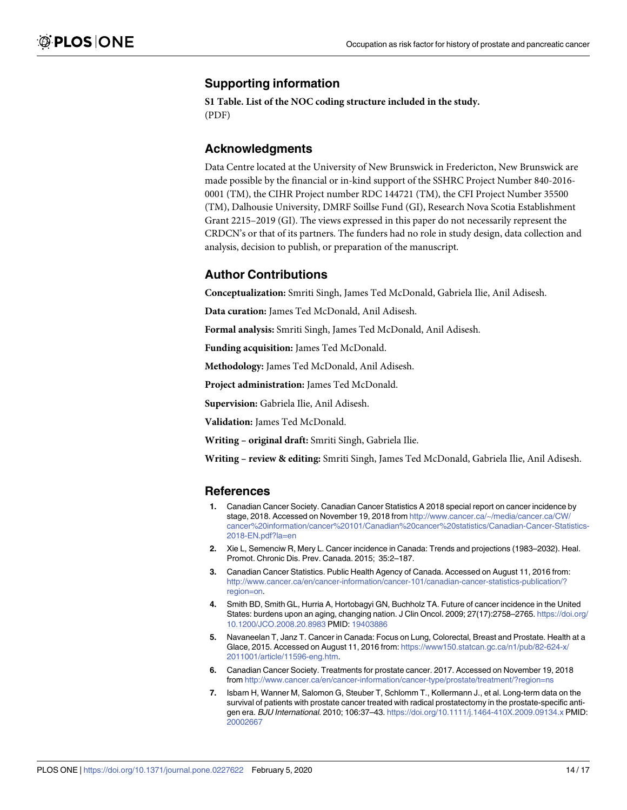# <span id="page-13-0"></span>**Supporting information**

**S1 [Table.](http://www.plosone.org/article/fetchSingleRepresentation.action?uri=info:doi/10.1371/journal.pone.0227622.s001) List of the NOC coding structure included in the study.** (PDF)

# **Acknowledgments**

Data Centre located at the University of New Brunswick in Fredericton, New Brunswick are made possible by the financial or in-kind support of the SSHRC Project Number 840-2016- 0001 (TM), the CIHR Project number RDC 144721 (TM), the CFI Project Number 35500 (TM), Dalhousie University, DMRF Soillse Fund (GI), Research Nova Scotia Establishment Grant 2215–2019 (GI). The views expressed in this paper do not necessarily represent the CRDCN's or that of its partners. The funders had no role in study design, data collection and analysis, decision to publish, or preparation of the manuscript.

# **Author Contributions**

**Conceptualization:** Smriti Singh, James Ted McDonald, Gabriela Ilie, Anil Adisesh.

**Data curation:** James Ted McDonald, Anil Adisesh.

**Formal analysis:** Smriti Singh, James Ted McDonald, Anil Adisesh.

**Funding acquisition:** James Ted McDonald.

**Methodology:** James Ted McDonald, Anil Adisesh.

**Project administration:** James Ted McDonald.

**Supervision:** Gabriela Ilie, Anil Adisesh.

**Validation:** James Ted McDonald.

**Writing – original draft:** Smriti Singh, Gabriela Ilie.

**Writing – review & editing:** Smriti Singh, James Ted McDonald, Gabriela Ilie, Anil Adisesh.

#### **References**

- **[1](#page-1-0).** Canadian Cancer Society. Canadian Cancer Statistics A 2018 special report on cancer incidence by stage, 2018. Accessed on November 19, 2018 from [http://www.cancer.ca/~/media/cancer.ca/CW/](http://www.cancer.ca/~/media/cancer.ca/CW/cancer%20information/cancer%20101/Canadian%20cancer%20statistics/Canadian-Cancer-Statistics-2018-EN.pdf?la=en) [cancer%20information/cancer%20101/Canadian%20cancer%20statistics/Canadian-Cancer-Statistics-](http://www.cancer.ca/~/media/cancer.ca/CW/cancer%20information/cancer%20101/Canadian%20cancer%20statistics/Canadian-Cancer-Statistics-2018-EN.pdf?la=en)[2018-EN.pdf?la=en](http://www.cancer.ca/~/media/cancer.ca/CW/cancer%20information/cancer%20101/Canadian%20cancer%20statistics/Canadian-Cancer-Statistics-2018-EN.pdf?la=en)
- **[2](#page-1-0).** Xie L, Semenciw R, Mery L. Cancer incidence in Canada: Trends and projections (1983–2032). Heal. Promot. Chronic Dis. Prev. Canada. 2015; 35:2–187.
- **[3](#page-1-0).** Canadian Cancer Statistics. Public Health Agency of Canada. Accessed on August 11, 2016 from: [http://www.cancer.ca/en/cancer-information/cancer-101/canadian-cancer-statistics-publication/?](http://www.cancer.ca/en/cancer-information/cancer-101/canadian-cancer-statistics-publication/?region=on) [region=on.](http://www.cancer.ca/en/cancer-information/cancer-101/canadian-cancer-statistics-publication/?region=on)
- **[4](#page-1-0).** Smith BD, Smith GL, Hurria A, Hortobagyi GN, Buchholz TA. Future of cancer incidence in the United States: burdens upon an aging, changing nation. J Clin Oncol. 2009; 27(17):2758–2765. [https://doi.org/](https://doi.org/10.1200/JCO.2008.20.8983) [10.1200/JCO.2008.20.8983](https://doi.org/10.1200/JCO.2008.20.8983) PMID: [19403886](http://www.ncbi.nlm.nih.gov/pubmed/19403886)
- **[5](#page-1-0).** Navaneelan T, Janz T. Cancer in Canada: Focus on Lung, Colorectal, Breast and Prostate. Health at a Glace, 2015. Accessed on August 11, 2016 from: [https://www150.statcan.gc.ca/n1/pub/82-624-x/](https://www150.statcan.gc.ca/n1/pub/82-624-x/2011001/article/11596-eng.htm) [2011001/article/11596-eng.htm](https://www150.statcan.gc.ca/n1/pub/82-624-x/2011001/article/11596-eng.htm).
- **[6](#page-1-0).** Canadian Cancer Society. Treatments for prostate cancer. 2017. Accessed on November 19, 2018 from <http://www.cancer.ca/en/cancer-information/cancer-type/prostate/treatment/?region=ns>
- **[7](#page-1-0).** Isbarn H, Wanner M, Salomon G, Steuber T, Schlomm T., Kollermann J., et al. Long-term data on the survival of patients with prostate cancer treated with radical prostatectomy in the prostate-specific antigen era. BJU International. 2010; 106:37–43. <https://doi.org/10.1111/j.1464-410X.2009.09134.x> PMID: [20002667](http://www.ncbi.nlm.nih.gov/pubmed/20002667)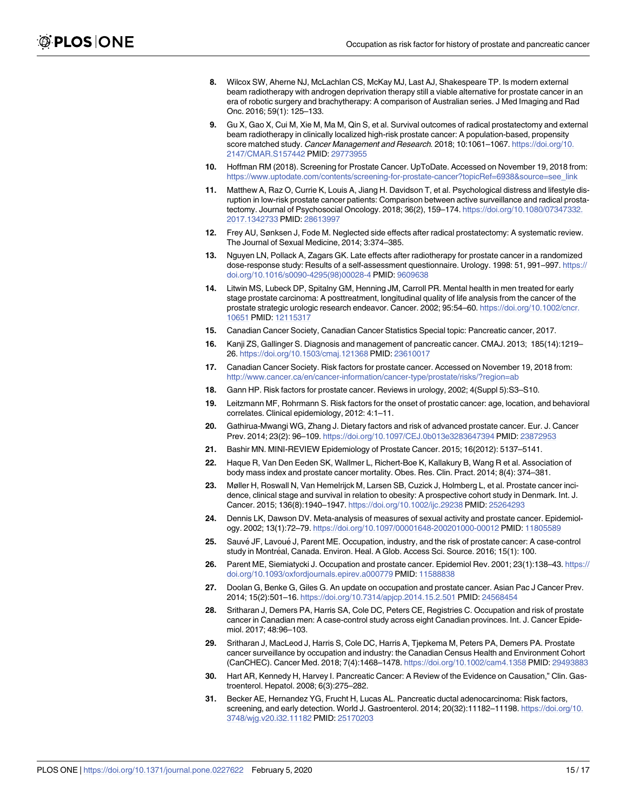- <span id="page-14-0"></span>**[8](#page-12-0).** Wilcox SW, Aherne NJ, McLachlan CS, McKay MJ, Last AJ, Shakespeare TP. Is modern external beam radiotherapy with androgen deprivation therapy still a viable alternative for prostate cancer in an era of robotic surgery and brachytherapy: A comparison of Australian series. J Med Imaging and Rad Onc. 2016; 59(1): 125–133.
- **[9](#page-1-0).** Gu X, Gao X, Cui M, Xie M, Ma M, Qin S, et al. Survival outcomes of radical prostatectomy and external beam radiotherapy in clinically localized high-risk prostate cancer: A population-based, propensity score matched study. Cancer Management and Research. 2018; 10:1061-1067. [https://doi.org/10.](https://doi.org/10.2147/CMAR.S157442) [2147/CMAR.S157442](https://doi.org/10.2147/CMAR.S157442) PMID: [29773955](http://www.ncbi.nlm.nih.gov/pubmed/29773955)
- **[10](#page-1-0).** Hoffman RM (2018). Screening for Prostate Cancer. UpToDate. Accessed on November 19, 2018 from: [https://www.uptodate.com/contents/screening-for-prostate-cancer?topicRef=6938&source=see\\_link](https://www.uptodate.com/contents/screening-for-prostate-cancer?topicRef=6938&source=see_link)
- **[11](#page-1-0).** Matthew A, Raz O, Currie K, Louis A, Jiang H. Davidson T, et al. Psychological distress and lifestyle disruption in low-risk prostate cancer patients: Comparison between active surveillance and radical prostatectomy. Journal of Psychosocial Oncology. 2018; 36(2), 159–174. [https://doi.org/10.1080/07347332.](https://doi.org/10.1080/07347332.2017.1342733) [2017.1342733](https://doi.org/10.1080/07347332.2017.1342733) PMID: [28613997](http://www.ncbi.nlm.nih.gov/pubmed/28613997)
- **12.** Frey AU, Sønksen J, Fode M. Neglected side effects after radical prostatectomy: A systematic review. The Journal of Sexual Medicine, 2014; 3:374–385.
- **13.** Nguyen LN, Pollack A, Zagars GK. Late effects after radiotherapy for prostate cancer in a randomized dose-response study: Results of a self-assessment questionnaire. Urology. 1998: 51, 991-997. [https://](https://doi.org/10.1016/s0090-4295(98)00028-4) [doi.org/10.1016/s0090-4295\(98\)00028-4](https://doi.org/10.1016/s0090-4295(98)00028-4) PMID: [9609638](http://www.ncbi.nlm.nih.gov/pubmed/9609638)
- **[14](#page-1-0).** Litwin MS, Lubeck DP, Spitalny GM, Henning JM, Carroll PR. Mental health in men treated for early stage prostate carcinoma: A posttreatment, longitudinal quality of life analysis from the cancer of the prostate strategic urologic research endeavor. Cancer. 2002; 95:54–60. [https://doi.org/10.1002/cncr.](https://doi.org/10.1002/cncr.10651) [10651](https://doi.org/10.1002/cncr.10651) PMID: [12115317](http://www.ncbi.nlm.nih.gov/pubmed/12115317)
- **[15](#page-1-0).** Canadian Cancer Society, Canadian Cancer Statistics Special topic: Pancreatic cancer, 2017.
- **[16](#page-1-0).** Kanji ZS, Gallinger S. Diagnosis and management of pancreatic cancer. CMAJ. 2013; 185(14):1219– 26. <https://doi.org/10.1503/cmaj.121368> PMID: [23610017](http://www.ncbi.nlm.nih.gov/pubmed/23610017)
- **[17](#page-1-0).** Canadian Cancer Society. Risk factors for prostate cancer. Accessed on November 19, 2018 from: <http://www.cancer.ca/en/cancer-information/cancer-type/prostate/risks/?region=ab>
- **[18](#page-2-0).** Gann HP. Risk factors for prostate cancer. Reviews in urology, 2002; 4(Suppl 5):S3–S10.
- **[19](#page-2-0).** Leitzmann MF, Rohrmann S. Risk factors for the onset of prostatic cancer: age, location, and behavioral correlates. Clinical epidemiology, 2012: 4:1–11.
- **[20](#page-2-0).** Gathirua-Mwangi WG, Zhang J. Dietary factors and risk of advanced prostate cancer. Eur. J. Cancer Prev. 2014; 23(2): 96–109. <https://doi.org/10.1097/CEJ.0b013e3283647394> PMID: [23872953](http://www.ncbi.nlm.nih.gov/pubmed/23872953)
- **[21](#page-2-0).** Bashir MN. MINI-REVIEW Epidemiology of Prostate Cancer. 2015; 16(2012): 5137–5141.
- **[22](#page-2-0).** Haque R, Van Den Eeden SK, Wallmer L, Richert-Boe K, Kallakury B, Wang R et al. Association of body mass index and prostate cancer mortality. Obes. Res. Clin. Pract. 2014; 8(4): 374–381.
- **[23](#page-2-0).** Møller H, Roswall N, Van Hemelrijck M, Larsen SB, Cuzick J, Holmberg L, et al. Prostate cancer incidence, clinical stage and survival in relation to obesity: A prospective cohort study in Denmark. Int. J. Cancer. 2015; 136(8):1940–1947. <https://doi.org/10.1002/ijc.29238> PMID: [25264293](http://www.ncbi.nlm.nih.gov/pubmed/25264293)
- **[24](#page-2-0).** Dennis LK, Dawson DV. Meta-analysis of measures of sexual activity and prostate cancer. Epidemiology. 2002; 13(1):72–79. <https://doi.org/10.1097/00001648-200201000-00012> PMID: [11805589](http://www.ncbi.nlm.nih.gov/pubmed/11805589)
- **[25](#page-2-0).** Sauve´ JF, Lavoue´ J, Parent ME. Occupation, industry, and the risk of prostate cancer: A case-control study in Montréal, Canada. Environ. Heal. A Glob. Access Sci. Source. 2016; 15(1): 100.
- **[26](#page-2-0).** Parent ME, Siemiatycki J. Occupation and prostate cancer. Epidemiol Rev. 2001; 23(1):138–43. [https://](https://doi.org/10.1093/oxfordjournals.epirev.a000779) [doi.org/10.1093/oxfordjournals.epirev.a000779](https://doi.org/10.1093/oxfordjournals.epirev.a000779) PMID: [11588838](http://www.ncbi.nlm.nih.gov/pubmed/11588838)
- **[27](#page-2-0).** Doolan G, Benke G, Giles G. An update on occupation and prostate cancer. Asian Pac J Cancer Prev. 2014; 15(2):501–16. <https://doi.org/10.7314/apjcp.2014.15.2.501> PMID: [24568454](http://www.ncbi.nlm.nih.gov/pubmed/24568454)
- **[28](#page-2-0).** Sritharan J, Demers PA, Harris SA, Cole DC, Peters CE, Registries C. Occupation and risk of prostate cancer in Canadian men: A case-control study across eight Canadian provinces. Int. J. Cancer Epidemiol. 2017; 48:96–103.
- **[29](#page-2-0).** Sritharan J, MacLeod J, Harris S, Cole DC, Harris A, Tjepkema M, Peters PA, Demers PA. Prostate cancer surveillance by occupation and industry: the Canadian Census Health and Environment Cohort (CanCHEC). Cancer Med. 2018; 7(4):1468–1478. <https://doi.org/10.1002/cam4.1358> PMID: [29493883](http://www.ncbi.nlm.nih.gov/pubmed/29493883)
- **[30](#page-2-0).** Hart AR, Kennedy H, Harvey I. Pancreatic Cancer: A Review of the Evidence on Causation," Clin. Gastroenterol. Hepatol. 2008; 6(3):275–282.
- **[31](#page-2-0).** Becker AE, Hernandez YG, Frucht H, Lucas AL. Pancreatic ductal adenocarcinoma: Risk factors, screening, and early detection. World J. Gastroenterol. 2014; 20(32):11182–11198. [https://doi.org/10.](https://doi.org/10.3748/wjg.v20.i32.11182) [3748/wjg.v20.i32.11182](https://doi.org/10.3748/wjg.v20.i32.11182) PMID: [25170203](http://www.ncbi.nlm.nih.gov/pubmed/25170203)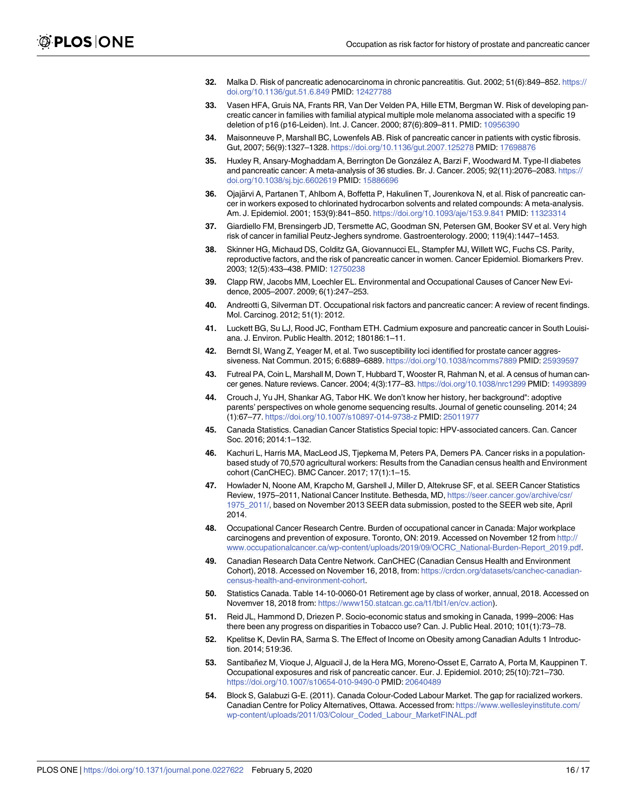- <span id="page-15-0"></span>**[32](#page-2-0).** Malka D. Risk of pancreatic adenocarcinoma in chronic pancreatitis. Gut. 2002; 51(6):849–852. [https://](https://doi.org/10.1136/gut.51.6.849) [doi.org/10.1136/gut.51.6.849](https://doi.org/10.1136/gut.51.6.849) PMID: [12427788](http://www.ncbi.nlm.nih.gov/pubmed/12427788)
- **[33](#page-2-0).** Vasen HFA, Gruis NA, Frants RR, Van Der Velden PA, Hille ETM, Bergman W. Risk of developing pancreatic cancer in families with familial atypical multiple mole melanoma associated with a specific 19 deletion of p16 (p16-Leiden). Int. J. Cancer. 2000; 87(6):809–811. PMID: [10956390](http://www.ncbi.nlm.nih.gov/pubmed/10956390)
- **[34](#page-2-0).** Maisonneuve P, Marshall BC, Lowenfels AB. Risk of pancreatic cancer in patients with cystic fibrosis. Gut, 2007; 56(9):1327–1328. <https://doi.org/10.1136/gut.2007.125278> PMID: [17698876](http://www.ncbi.nlm.nih.gov/pubmed/17698876)
- **[35](#page-3-0).** Huxley R, Ansary-Moghaddam A, Berrington De González A, Barzi F, Woodward M. Type-II diabetes and pancreatic cancer: A meta-analysis of 36 studies. Br. J. Cancer. 2005; 92(11):2076–2083. [https://](https://doi.org/10.1038/sj.bjc.6602619) [doi.org/10.1038/sj.bjc.6602619](https://doi.org/10.1038/sj.bjc.6602619) PMID: [15886696](http://www.ncbi.nlm.nih.gov/pubmed/15886696)
- **[36](#page-2-0).** Ojajärvi A, Partanen T, Ahlbom A, Boffetta P, Hakulinen T, Jourenkova N, et al. Risk of pancreatic cancer in workers exposed to chlorinated hydrocarbon solvents and related compounds: A meta-analysis. Am. J. Epidemiol. 2001; 153(9):841–850. <https://doi.org/10.1093/aje/153.9.841> PMID: [11323314](http://www.ncbi.nlm.nih.gov/pubmed/11323314)
- **[37](#page-2-0).** Giardiello FM, Brensingerb JD, Tersmette AC, Goodman SN, Petersen GM, Booker SV et al. Very high risk of cancer in familial Peutz-Jeghers syndrome. Gastroenterology. 2000; 119(4):1447–1453.
- **[38](#page-2-0).** Skinner HG, Michaud DS, Colditz GA, Giovannucci EL, Stampfer MJ, Willett WC, Fuchs CS. Parity, reproductive factors, and the risk of pancreatic cancer in women. Cancer Epidemiol. Biomarkers Prev. 2003; 12(5):433–438. PMID: [12750238](http://www.ncbi.nlm.nih.gov/pubmed/12750238)
- **[39](#page-3-0).** Clapp RW, Jacobs MM, Loechler EL. Environmental and Occupational Causes of Cancer New Evidence, 2005–2007. 2009; 6(1):247–253.
- **[40](#page-3-0).** Andreotti G, Silverman DT. Occupational risk factors and pancreatic cancer: A review of recent findings. Mol. Carcinog. 2012; 51(1): 2012.
- **[41](#page-3-0).** Luckett BG, Su LJ, Rood JC, Fontham ETH. Cadmium exposure and pancreatic cancer in South Louisiana. J. Environ. Public Health. 2012; 180186:1–11.
- **[42](#page-3-0).** Berndt SI, Wang Z, Yeager M, et al. Two susceptibility loci identified for prostate cancer aggressiveness. Nat Commun. 2015; 6:6889–6889. <https://doi.org/10.1038/ncomms7889> PMID: [25939597](http://www.ncbi.nlm.nih.gov/pubmed/25939597)
- **[43](#page-3-0).** Futreal PA, Coin L, Marshall M, Down T, Hubbard T, Wooster R, Rahman N, et al. A census of human cancer genes. Nature reviews. Cancer. 2004; 4(3):177–83. <https://doi.org/10.1038/nrc1299> PMID: [14993899](http://www.ncbi.nlm.nih.gov/pubmed/14993899)
- **[44](#page-3-0).** Crouch J, Yu JH, Shankar AG, Tabor HK. We don't know her history, her background": adoptive parents' perspectives on whole genome sequencing results. Journal of genetic counseling. 2014; 24 (1):67–77. <https://doi.org/10.1007/s10897-014-9738-z> PMID: [25011977](http://www.ncbi.nlm.nih.gov/pubmed/25011977)
- **[45](#page-3-0).** Canada Statistics. Canadian Cancer Statistics Special topic: HPV-associated cancers. Can. Cancer Soc. 2016; 2014:1–132.
- **[46](#page-3-0).** Kachuri L, Harris MA, MacLeod JS, Tjepkema M, Peters PA, Demers PA. Cancer risks in a populationbased study of 70,570 agricultural workers: Results from the Canadian census health and Environment cohort (CanCHEC). BMC Cancer. 2017; 17(1):1–15.
- **[47](#page-3-0).** Howlader N, Noone AM, Krapcho M, Garshell J, Miller D, Altekruse SF, et al. SEER Cancer Statistics Review, 1975–2011, National Cancer Institute. Bethesda, MD, [https://seer.cancer.gov/archive/csr/](https://seer.cancer.gov/archive/csr/1975_2011/) [1975\\_2011/,](https://seer.cancer.gov/archive/csr/1975_2011/) based on November 2013 SEER data submission, posted to the SEER web site, April 2014.
- **[48](#page-3-0).** Occupational Cancer Research Centre. Burden of occupational cancer in Canada: Major workplace carcinogens and prevention of exposure. Toronto, ON: 2019. Accessed on November 12 from [http://](http://www.occupationalcancer.ca/wp-content/uploads/2019/09/OCRC_National-Burden-Report_2019.pdf) [www.occupationalcancer.ca/wp-content/uploads/2019/09/OCRC\\_National-Burden-Report\\_2019.pdf.](http://www.occupationalcancer.ca/wp-content/uploads/2019/09/OCRC_National-Burden-Report_2019.pdf)
- **[49](#page-4-0).** Canadian Research Data Centre Network. CanCHEC (Canadian Census Health and Environment Cohort), 2018. Accessed on November 16, 2018, from: [https://crdcn.org/datasets/canchec-canadian](https://crdcn.org/datasets/canchec-canadian-census-health-and-environment-cohort)[census-health-and-environment-cohort](https://crdcn.org/datasets/canchec-canadian-census-health-and-environment-cohort).
- **[50](#page-4-0).** Statistics Canada. Table 14-10-0060-01 Retirement age by class of worker, annual, 2018. Accessed on Novemver 18, 2018 from: <https://www150.statcan.gc.ca/t1/tbl1/en/cv.action>).
- **[51](#page-4-0).** Reid JL, Hammond D, Driezen P. Socio-economic status and smoking in Canada, 1999–2006: Has there been any progress on disparities in Tobacco use? Can. J. Public Heal. 2010; 101(1):73–78.
- **[52](#page-4-0).** Kpelitse K, Devlin RA, Sarma S. The Effect of Income on Obesity among Canadian Adults 1 Introduction. 2014; 519:36.
- **[53](#page-11-0).** Santibañez M, Vioque J, Alguacil J, de la Hera MG, Moreno-Osset E, Carrato A, Porta M, Kauppinen T. Occupational exposures and risk of pancreatic cancer. Eur. J. Epidemiol. 2010; 25(10):721–730. <https://doi.org/10.1007/s10654-010-9490-0> PMID: [20640489](http://www.ncbi.nlm.nih.gov/pubmed/20640489)
- **[54](#page-12-0).** Block S, Galabuzi G-E. (2011). Canada Colour-Coded Labour Market. The gap for racialized workers. Canadian Centre for Policy Alternatives, Ottawa. Accessed from: [https://www.wellesleyinstitute.com/](https://www.wellesleyinstitute.com/wp-content/uploads/2011/03/Colour_Coded_Labour_MarketFINAL.pdf) [wp-content/uploads/2011/03/Colour\\_Coded\\_Labour\\_MarketFINAL.pdf](https://www.wellesleyinstitute.com/wp-content/uploads/2011/03/Colour_Coded_Labour_MarketFINAL.pdf)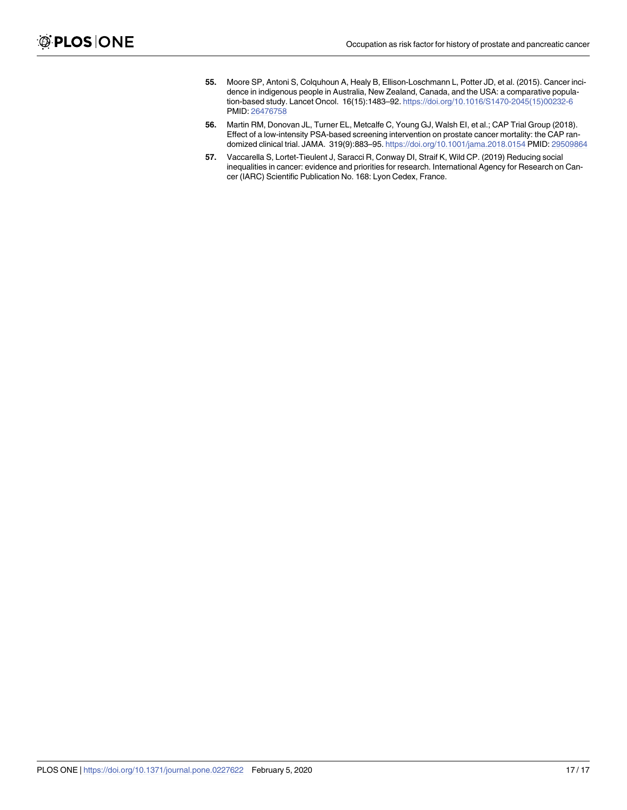- <span id="page-16-0"></span>**[55](#page-12-0).** Moore SP, Antoni S, Colquhoun A, Healy B, Ellison-Loschmann L, Potter JD, et al. (2015). Cancer incidence in indigenous people in Australia, New Zealand, Canada, and the USA: a comparative population-based study. Lancet Oncol. 16(15):1483–92. [https://doi.org/10.1016/S1470-2045\(15\)00232-6](https://doi.org/10.1016/S1470-2045(15)00232-6) PMID: [26476758](http://www.ncbi.nlm.nih.gov/pubmed/26476758)
- **[56](#page-12-0).** Martin RM, Donovan JL, Turner EL, Metcalfe C, Young GJ, Walsh EI, et al.; CAP Trial Group (2018). Effect of a low-intensity PSA-based screening intervention on prostate cancer mortality: the CAP randomized clinical trial. JAMA. 319(9):883–95. <https://doi.org/10.1001/jama.2018.0154> PMID: [29509864](http://www.ncbi.nlm.nih.gov/pubmed/29509864)
- **[57](#page-12-0).** Vaccarella S, Lortet-Tieulent J, Saracci R, Conway DI, Straif K, Wild CP. (2019) Reducing social inequalities in cancer: evidence and priorities for research. International Agency for Research on Cancer (IARC) Scientific Publication No. 168: Lyon Cedex, France.